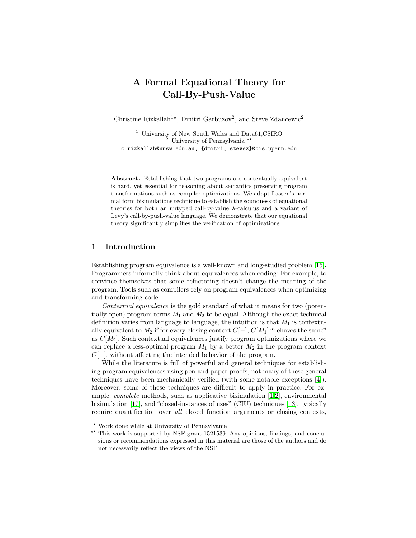# A Formal Equational Theory for Call-By-Push-Value

Christine Rizkallah<sup>1\*</sup>, Dmitri Garbuzov<sup>2</sup>, and Steve Zdancewic<sup>2</sup>

<sup>1</sup> University of New South Wales and Data61, CSIRO <sup>2</sup> University of Pennsylvania<sup>\*\*</sup> c.rizkallah@unsw.edu.au, {dmitri, stevez}@cis.upenn.edu

Abstract. Establishing that two programs are contextually equivalent is hard, yet essential for reasoning about semantics preserving program transformations such as compiler optimizations. We adapt Lassen's normal form bisimulations technique to establish the soundness of equational theories for both an untyped call-by-value λ-calculus and a variant of Levy's call-by-push-value language. We demonstrate that our equational theory significantly simplifies the verification of optimizations.

# 1 Introduction

Establishing program equivalence is a well-known and long-studied problem [\[15\]](#page-17-0). Programmers informally think about equivalences when coding: For example, to convince themselves that some refactoring doesn't change the meaning of the program. Tools such as compilers rely on program equivalences when optimizing and transforming code.

Contextual equivalence is the gold standard of what it means for two (potentially open) program terms  $M_1$  and  $M_2$  to be equal. Although the exact technical definition varies from language to language, the intuition is that  $M_1$  is contextually equivalent to  $M_2$  if for every closing context  $C[-]$ ,  $C[M_1]$  "behaves the same" as  $C[M_2]$ . Such contextual equivalences justify program optimizations where we can replace a less-optimal program  $M_1$  by a better  $M_2$  in the program context C[−], without affecting the intended behavior of the program.

While the literature is full of powerful and general techniques for establishing program equivalences using pen-and-paper proofs, not many of these general techniques have been mechanically verified (with some notable exceptions [\[4\]](#page-16-0)). Moreover, some of these techniques are difficult to apply in practice. For example, complete methods, such as applicative bisimulation [\[1,](#page-16-1)[2\]](#page-16-2), environmental bisimulation [\[17\]](#page-17-1), and "closed-instances of uses" (CIU) techniques [\[13\]](#page-17-2), typically require quantification over all closed function arguments or closing contexts,

<sup>?</sup> Work done while at University of Pennsylvania

<sup>\*\*</sup> This work is supported by NSF grant 1521539. Any opinions, findings, and conclusions or recommendations expressed in this material are those of the authors and do not necessarily reflect the views of the NSF.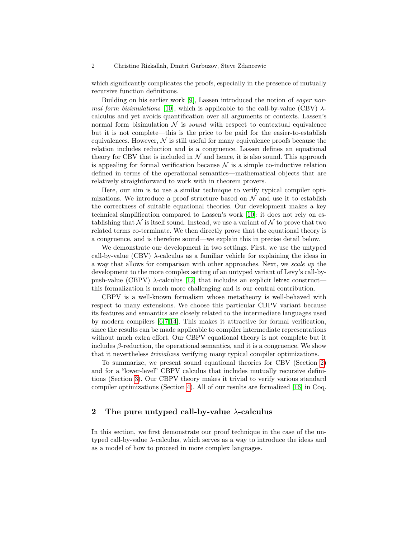which significantly complicates the proofs, especially in the presence of mutually recursive function definitions.

Building on his earlier work [\[9\]](#page-17-3), Lassen introduced the notion of eager nor-mal form bisimulations [\[10\]](#page-17-4), which is applicable to the call-by-value (CBV)  $\lambda$ calculus and yet avoids quantification over all arguments or contexts. Lassen's normal form bisimulation  $\mathcal N$  is *sound* with respect to contextual equivalence but it is not complete—this is the price to be paid for the easier-to-establish equivalences. However,  $\mathcal N$  is still useful for many equivalence proofs because the relation includes reduction and is a congruence. Lassen defines an equational theory for CBV that is included in  $N$  and hence, it is also sound. This approach is appealing for formal verification because  $\mathcal N$  is a simple co-inductive relation defined in terms of the operational semantics—mathematical objects that are relatively straightforward to work with in theorem provers.

Here, our aim is to use a similar technique to verify typical compiler optimizations. We introduce a proof structure based on  $\mathcal N$  and use it to establish the correctness of suitable equational theories. Our development makes a key technical simplification compared to Lassen's work [\[10\]](#page-17-4): it does not rely on establishing that  $\mathcal N$  is itself sound. Instead, we use a variant of  $\mathcal N$  to prove that two related terms co-terminate. We then directly prove that the equational theory is a congruence, and is therefore sound—we explain this in precise detail below.

We demonstrate our development in two settings. First, we use the untyped call-by-value (CBV)  $\lambda$ -calculus as a familiar vehicle for explaining the ideas in a way that allows for comparison with other approaches. Next, we scale up the development to the more complex setting of an untyped variant of Levy's call-bypush-value (CBPV)  $\lambda$ -calculus [\[12\]](#page-17-5) that includes an explicit letrec constructthis formalization is much more challenging and is our central contribution.

CBPV is a well-known formalism whose metatheory is well-behaved with respect to many extensions. We choose this particular CBPV variant because its features and semantics are closely related to the intermediate languages used by modern compilers [\[6,](#page-16-3)[7](#page-17-6)[,14\]](#page-17-7). This makes it attractive for formal verification, since the results can be made applicable to compiler intermediate representations without much extra effort. Our CBPV equational theory is not complete but it includes  $\beta$ -reduction, the operational semantics, and it is a congruence. We show that it nevertheless trivializes verifying many typical compiler optimizations.

To summarize, we present sound equational theories for CBV (Section [2\)](#page-1-0) and for a "lower-level" CBPV calculus that includes mutually recursive definitions (Section [3\)](#page-6-0). Our CBPV theory makes it trivial to verify various standard compiler optimizations (Section [4\)](#page-13-0). All of our results are formalized [\[16\]](#page-17-8) in Coq.

# <span id="page-1-0"></span>2 The pure untyped call-by-value  $\lambda$ -calculus

In this section, we first demonstrate our proof technique in the case of the untyped call-by-value  $\lambda$ -calculus, which serves as a way to introduce the ideas and as a model of how to proceed in more complex languages.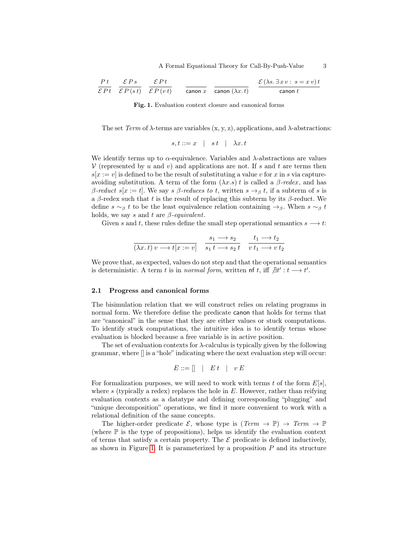$$
\frac{Pt}{\mathcal{E}Pt} \quad \frac{\mathcal{E}Ps}{\mathcal{E}P(st)} \quad \frac{\mathcal{E}Pt}{\mathcal{E}P(v\,t)} \qquad \frac{}{\text{canon } x} \quad \frac{}{\text{canon } (\lambda x. t)} \quad \frac{\mathcal{E}(\lambda s. \exists xv : s = xv) t}{\text{canon } t}
$$

<span id="page-2-0"></span>Fig. 1. Evaluation context closure and canonical forms

The set Term of  $\lambda$ -terms are variables  $(x, y, z)$ , applications, and  $\lambda$ -abstractions:

$$
s, t ::= x \mid st \mid \lambda x. t
$$

We identify terms up to  $\alpha$ -equivalence. Variables and  $\lambda$ -abstractions are values V (represented by u and v) and applications are not. If s and t are terms then  $s[x := v]$  is defined to be the result of substituting a value v for x in s via captureavoiding substitution. A term of the form  $(\lambda x.s) t$  is called a  $\beta$ -redex, and has β-reduct s[x := t]. We say s β-reduces to t, written  $s \rightarrow_\beta t$ , if a subterm of s is a β-redex such that t is the result of replacing this subterm by its  $\beta$ -reduct. We define  $s \sim_\beta t$  to be the least equivalence relation containing  $\rightarrow_\beta$ . When  $s \sim_\beta t$ holds, we say s and t are  $\beta$ -equivalent.

Given s and t, these rules define the small step operational semantics  $s \rightarrow t$ :

$$
\frac{s_1 \longrightarrow s_2}{(\lambda x. t) v \longrightarrow t[x := v]} \quad \frac{s_1 \longrightarrow s_2}{s_1 t \longrightarrow s_2 t} \quad \frac{t_1 \longrightarrow t_2}{v t_1 \longrightarrow v t_2}
$$

We prove that, as expected, values do not step and that the operational semantics is deterministic. A term t is in normal form, written of t, iff  $\exists t' : t \longrightarrow t'$ .

### 2.1 Progress and canonical forms

The bisimulation relation that we will construct relies on relating programs in normal form. We therefore define the predicate canon that holds for terms that are "canonical" in the sense that they are either values or stuck computations. To identify stuck computations, the intuitive idea is to identify terms whose evaluation is blocked because a free variable is in active position.

The set of evaluation contexts for  $\lambda$ -calculus is typically given by the following grammar, where [] is a "hole" indicating where the next evaluation step will occur:

$$
E ::= [] \mid E t \mid v E
$$

For formalization purposes, we will need to work with terms t of the form  $E[s]$ , where  $s$  (typically a redex) replaces the hole in  $E$ . However, rather than reifying evaluation contexts as a datatype and defining corresponding "plugging" and "unique decomposition" operations, we find it more convenient to work with a relational definition of the same concepts.

The higher-order predicate  $\mathcal{E}$ , whose type is  $(Term \rightarrow \mathbb{P}) \rightarrow Term \rightarrow \mathbb{P}$ (where  $\mathbb P$  is the type of propositions), helps us identify the evaluation context of terms that satisfy a certain property. The  $\mathcal E$  predicate is defined inductively, as shown in Figure [1.](#page-2-0) It is parameterized by a proposition  $P$  and its structure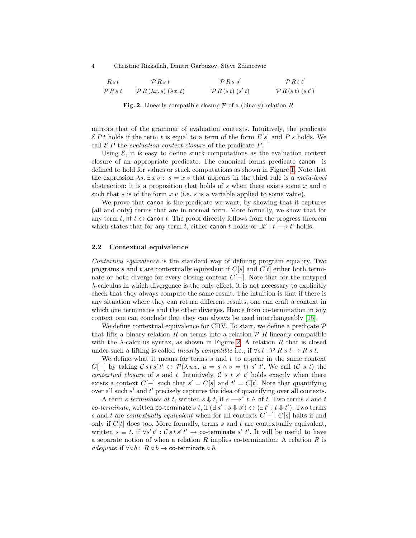| $Rst$             | $\mathcal{P}Rs t$          | $\mathcal{P}Rs s'$       | $\mathcal{P}Rst t'$ |
|-------------------|----------------------------|--------------------------|---------------------|
| $\mathcal{P}Rs t$ | $\mathcal{P}R(s t) (s' t)$ | $\mathcal{P}R(t) (s' t)$ |                     |

<span id="page-3-0"></span>**Fig. 2.** Linearly compatible closure  $P$  of a (binary) relation R.

mirrors that of the grammar of evaluation contexts. Intuitively, the predicate  $\mathcal{E} P t$  holds if the term t is equal to a term of the form  $E[s]$  and P s holds. We call  $\mathcal E$  P the *evaluation context closure* of the predicate P.

Using  $\mathcal{E}$ , it is easy to define stuck computations as the evaluation context closure of an appropriate predicate. The canonical forms predicate canon is defined to hold for values or stuck computations as shown in Figure [1.](#page-2-0) Note that the expression  $\lambda s. \exists x \, v : s = x \, v$  that appears in the third rule is a *meta-level* abstraction: it is a proposition that holds of s when there exists some x and  $v$ such that s is of the form  $x \, v$  (i.e. s is a variable applied to some value).

We prove that canon is the predicate we want, by showing that it captures (all and only) terms that are in normal form. More formally, we show that for any term t, of  $t \leftrightarrow$  canon t. The proof directly follows from the progress theorem which states that for any term t, either canon t holds or  $\exists t' : t \longrightarrow t'$  holds.

## 2.2 Contextual equivalence

Contextual equivalence is the standard way of defining program equality. Two programs s and t are contextually equivalent if  $C[s]$  and  $C[t]$  either both terminate or both diverge for every closing context  $C[-]$ . Note that for the untyped  $\lambda$ -calculus in which divergence is the only effect, it is not necessary to explicitly check that they always compute the same result. The intuition is that if there is any situation where they can return different results, one can craft a context in which one terminates and the other diverges. Hence from co-termination in any context one can conclude that they can always be used interchangeably [\[15\]](#page-17-0).

We define contextual equivalence for CBV. To start, we define a predicate  $\mathcal P$ that lifts a binary relation R on terms into a relation  $\mathcal{P}$  R linearly compatible with the  $\lambda$ -calculus syntax, as shown in Figure [2.](#page-3-0) A relation R that is closed under such a lifting is called *linearly compatible* i.e., if  $\forall s t : P R s t \rightarrow R s t$ .

We define what it means for terms  $s$  and  $t$  to appear in the same context  $C[-]$  by taking  $\mathcal{C} s t s' t'$  ↔  $\mathcal{P}(\lambda u v. u = s \wedge v = t) s' t'$ . We call  $(\mathcal{C} s t)$  the contextual closure of s and t. Intuitively,  $\mathcal{C}$  s t s' t' holds exactly when there exists a context  $C[-]$  such that  $s' = C[s]$  and  $t' = C[t]$ . Note that quantifying over all such  $s'$  and  $t'$  precisely captures the idea of quantifying over all contexts.

A term s terminates at t, written  $s \Downarrow t$ , if  $s \longrightarrow^* t \wedge \text{nf } t$ . Two terms s and t *co-terminate*, written co-terminate s t, if  $(\exists s': s \Downarrow s') \leftrightarrow (\exists t': t \Downarrow t')$ . Two terms s and t are contextually equivalent when for all contexts  $C[-]$ ,  $C[s]$  halts if and only if  $C[t]$  does too. More formally, terms s and t are contextually equivalent, written  $s \equiv t$ , if  $\forall s' t' : \mathcal{C} s t s' t' \rightarrow$  co-terminate s' t'. It will be useful to have a separate notion of when a relation  $R$  implies co-termination: A relation  $R$  is adequate if  $\forall a b : R a b \rightarrow \text{co-terminate } a b$ .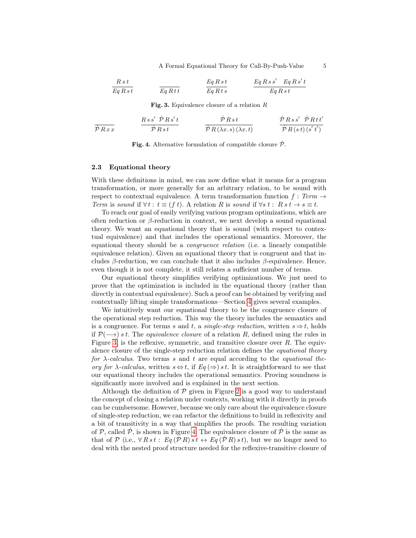A Formal Equational Theory for Call-By-Push-Value 5

$$
\begin{array}{ccc}\nR \, s \, t \\
\hline\nEq R \, s \, t \\
\hline\nEq R \, s \, t \\
\hline\n\end{array}\n\qquad\n\begin{array}{ccc}\nEq \, R \, s \, t \\
\hline\nEq R \, s \, s \\
\hline\nEq R \, s \, s \\
\hline\n\end{array}\n\qquad\n\begin{array}{ccc}\nEq \, R \, s \, s' \\
\hline\nEq R \, s \, s' \\
\hline\n\end{array}\n\qquad\n\begin{array}{ccc}\nEq \, R \, s \, s' \\
\hline\n\end{array}
$$

<span id="page-4-0"></span>Fig. 3. Equivalence closure of a relation  $R$ 

$$
\frac{Rss'\dot{P}Rs' t}{\dot{P}Rxx} \qquad \frac{Rss'\dot{P}Rs' t}{\dot{P}Rs t} \qquad \frac{\dot{P}Rs t}{\dot{P}R(\lambda x. s)(\lambda x. t)} \qquad \frac{\dot{P}Rss'\dot{P}Rtt'}{\dot{P}R(s t)(s't')}
$$

<span id="page-4-1"></span>Fig. 4. Alternative formulation of compatible closure  $\dot{\mathcal{P}}$ .

## 2.3 Equational theory

With these definitions in mind, we can now define what it means for a program transformation, or more generally for an arbitrary relation, to be sound with respect to contextual equivalence. A term transformation function  $f : Term \rightarrow$ Term is sound if  $\forall t : t \equiv (f t)$ . A relation R is sound if  $\forall s t : R s t \rightarrow s \equiv t$ .

To reach our goal of easily verifying various program optimizations, which are often reduction or  $\beta$ -reduction in context, we next develop a sound equational theory. We want an equational theory that is sound (with respect to contextual equivalence) and that includes the operational semantics. Moreover, the equational theory should be a congruence relation (i.e. a linearly compatible equivalence relation). Given an equational theory that is congruent and that includes  $\beta$ -reduction, we can conclude that it also includes  $\beta$ -equivalence. Hence, even though it is not complete, it still relates a sufficient number of terms.

Our equational theory simplifies verifying optimizations. We just need to prove that the optimization is included in the equational theory (rather than directly in contextual equivalence). Such a proof can be obtained by verifying and contextually lifting simple transformations—Section [4](#page-13-0) gives several examples.

We intuitively want our equational theory to be the congruence closure of the operational step reduction. This way the theory includes the semantics and is a congruence. For terms s and t, a single-step reduction, written  $s \Rightarrow t$ , holds if  $\mathcal{P}(\longrightarrow)$  s t. The *equivalence closure* of a relation R, defined using the rules in Figure [3,](#page-4-0) is the reflexive, symmetric, and transitive closure over  $R$ . The equivalence closure of the single-step reduction relation defines the equational theory for  $\lambda$ -calculus. Two terms s and t are equal according to the *equational the*ory for  $\lambda$ -calculus, written  $s \Leftrightarrow t$ , if  $Eq(\Rightarrow) st$ . It is straightforward to see that our equational theory includes the operational semantics. Proving soundness is significantly more involved and is explained in the next section.

Although the definition of  $P$  given in Figure [2](#page-3-0) is a good way to understand the concept of closing a relation under contexts, working with it directly in proofs can be cumbersome. However, because we only care about the equivalence closure of single-step reduction, we can refactor the definitions to build in reflexivity and a bit of transitivity in a way that simplifies the proofs. The resulting variation of  $P$ , called  $\dot{P}$ , is shown in Figure [4.](#page-4-1) The equivalence closure of  $\dot{P}$  is the same as that of P (i.e.,  $\forall Rst : Eq (PR) st \leftrightarrow Eq (PR) st$ ), but we no longer need to deal with the nested proof structure needed for the reflexive-transitive closure of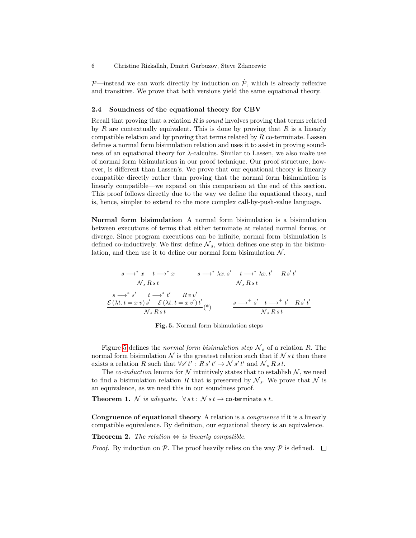$P$ —instead we can work directly by induction on  $\dot{P}$ , which is already reflexive and transitive. We prove that both versions yield the same equational theory.

### 2.4 Soundness of the equational theory for CBV

Recall that proving that a relation  $R$  is *sound* involves proving that terms related by R are contextually equivalent. This is done by proving that  $R$  is a linearly compatible relation and by proving that terms related by  $R$  co-terminate. Lassen defines a normal form bisimulation relation and uses it to assist in proving soundness of an equational theory for  $\lambda$ -calculus. Similar to Lassen, we also make use of normal form bisimulations in our proof technique. Our proof structure, however, is different than Lassen's. We prove that our equational theory is linearly compatible directly rather than proving that the normal form bisimulation is linearly compatible—we expand on this comparison at the end of this section. This proof follows directly due to the way we define the equational theory, and is, hence, simpler to extend to the more complex call-by-push-value language.

Normal form bisimulation A normal form bisimulation is a bisimulation between executions of terms that either terminate at related normal forms, or diverge. Since program executions can be infinite, normal form bisimulation is defined co-inductively. We first define  $\mathcal{N}_s$ , which defines one step in the bisimulation, and then use it to define our normal form bisimulation  $\mathcal{N}$ .

$$
\frac{s \longrightarrow^* x \quad t \longrightarrow^* x}{N_s R s t} \qquad \frac{s \longrightarrow^* \lambda x. s' \quad t \longrightarrow^* \lambda x. t' \quad R s' t'}{N_s R s t}
$$
\n
$$
\frac{s \longrightarrow^* s' \quad t \longrightarrow^* t' \quad R v v'}{\mathcal{E}(\lambda t. t = x v) s' \quad \mathcal{E}(\lambda t. t = x v') t' }{N_s R s t} (*) \qquad \frac{s \longrightarrow^+ s' \quad t \longrightarrow^+ t' \quad R s' t'}{N_s R s t'}
$$

<span id="page-5-2"></span><span id="page-5-0"></span>Fig. 5. Normal form bisimulation steps

Figure [5](#page-5-0) defines the normal form bisimulation step  $\mathcal{N}_s$  of a relation R. The normal form bisimulation  $\mathcal N$  is the greatest relation such that if  $\mathcal N s t$  then there exists a relation R such that  $\forall s' t' : R s' t' \rightarrow \mathcal{N} s' t'$  and  $\mathcal{N}_s R s t$ .

The *co-induction* lemma for N intuitively states that to establish  $N$ , we need to find a bisimulation relation R that is preserved by  $\mathcal{N}_s$ . We prove that  $\mathcal N$  is an equivalence, as we need this in our soundness proof.

**Theorem 1.** N is adequate.  $\forall s t : \mathcal{N} s t \rightarrow$  co-terminate s t.

Congruence of equational theory A relation is a congruence if it is a linearly compatible equivalence. By definition, our equational theory is an equivalence.

<span id="page-5-1"></span>**Theorem 2.** The relation  $\Leftrightarrow$  is linearly compatible.

*Proof.* By induction on P. The proof heavily relies on the way P is defined.  $\square$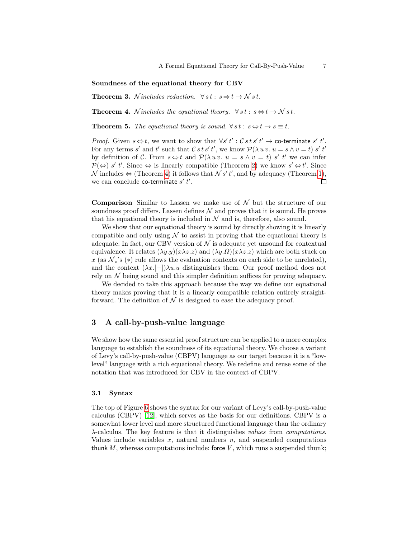#### Soundness of the equational theory for CBV

**Theorem 3.** N includes reduction.  $\forall s t : s \Rightarrow t \rightarrow N s t$ .

<span id="page-6-1"></span>**Theorem 4.** N includes the equational theory.  $\forall s t : s \Leftrightarrow t \rightarrow N s t$ .

**Theorem 5.** The equational theory is sound.  $\forall s t : s \Leftrightarrow t \rightarrow s \equiv t$ .

*Proof.* Given  $s \Leftrightarrow t$ , we want to show that  $\forall s' t' : \mathcal{C} s t s' t' \rightarrow$  co-terminate s' t'. For any terms s' and t' such that  $\mathcal{C} s t s' t'$ , we know  $\mathcal{P}(\lambda u v. u = s \wedge v = t) s' t'$ by definition of C. From  $s \Leftrightarrow t$  and  $\mathcal{P}(\lambda uv, u = s \wedge v = t)$  s' t' we can infer  $\mathcal{P}(\Leftrightarrow s' \ t'.$  Since  $\Leftrightarrow$  is linearly compatible (Theorem [2\)](#page-5-1) we know  $s' \Leftrightarrow t'.$  Since N includes  $\Leftrightarrow$  (Theorem [4\)](#page-6-1) it follows that N s' t', and by adequacy (Theorem [1\)](#page-5-2), we can conclude co-terminate  $s'$   $t'$ .  $\Box$ 

**Comparison** Similar to Lassen we make use of  $\mathcal N$  but the structure of our soundness proof differs. Lassen defines  $\mathcal N$  and proves that it is sound. He proves that his equational theory is included in  $\mathcal N$  and is, therefore, also sound.

We show that our equational theory is sound by directly showing it is linearly compatible and only using  $\mathcal N$  to assist in proving that the equational theory is adequate. In fact, our CBV version of  $\mathcal N$  is adequate yet unsound for contextual equivalence. It relates  $(\lambda y. y)(x\lambda z. z)$  and  $(\lambda y. \Omega)(x\lambda z. z)$  which are both stuck on x (as  $\mathcal{N}_s$ 's (\*) rule allows the evaluation contexts on each side to be unrelated), and the context  $(\lambda x.[-])\lambda u.u$  distinguishes them. Our proof method does not rely on  $\mathcal N$  being sound and this simpler definition suffices for proving adequacy.

We decided to take this approach because the way we define our equational theory makes proving that it is a linearly compatible relation entirely straightforward. The definition of  $\mathcal N$  is designed to ease the adequacy proof.

# <span id="page-6-0"></span>3 A call-by-push-value language

We show how the same essential proof structure can be applied to a more complex language to establish the soundness of its equational theory. We choose a variant of Levy's call-by-push-value (CBPV) language as our target because it is a "lowlevel" language with a rich equational theory. We redefine and reuse some of the notation that was introduced for CBV in the context of CBPV.

#### 3.1 Syntax

The top of Figure [6](#page-7-0) shows the syntax for our variant of Levy's call-by-push-value calculus (CBPV) [\[12\]](#page-17-5), which serves as the basis for our definitions. CBPV is a somewhat lower level and more structured functional language than the ordinary λ-calculus. The key feature is that it distinguishes values from computations. Values include variables  $x$ , natural numbers  $n$ , and suspended computations thunk  $M$ , whereas computations include: force  $V$ , which runs a suspended thunk;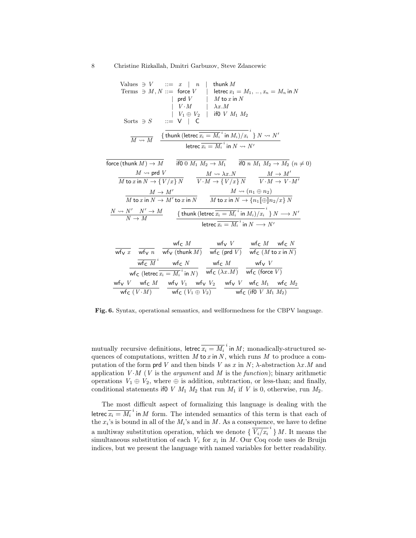Values 
$$
\ni V ::= x \mid n \mid \text{ thunk } M
$$
  
\nTerms  $\ni M, N ::= \text{ force } V \mid \text{ letrec } x_1 = M_1, ..., x_n = M_n \text{ in } N$   
\n $\mid \text{ prd } V \mid M \text{ to } x \text{ in } N$   
\n $\mid V \cdot M \mid \lambda x \cdot M$   
\nSorts  $\ni S \mid ::= V \mid C$   
\n $\frac{1}{M \rightarrow M} \frac{\left\{\text{thunk}(\text{letrec } \overline{x_i} = M_i \text{ in } M_i)/x_i \right\} N \rightarrow N'}{\text{letrec } \overline{x_i} = M_i \text{ in } M \rightarrow N'}$   
\nforce (thunk  $M) \rightarrow M$   $\frac{1}{\text{if}0 \mid M_1 M_2 \rightarrow M_1}$   $\frac{1}{\text{if}0 \mid n M_1 M_2 \rightarrow M_2}$   $(n \neq 0)$   
\n $\frac{M \rightarrow \text{prd } V}{M \text{ to } x \text{ in } N \rightarrow \{V/x\} N}$   $\frac{M \rightarrow \lambda x \cdot N}{V \cdot M \rightarrow \{V/x\} N}$   $\frac{M \rightarrow M'}{V \cdot M \rightarrow V \cdot M'}$   
\n $\frac{M \rightarrow M'}{M \text{ to } x \text{ in } N \rightarrow M' \text{ to } x \text{ in } N}$   $\frac{M \rightarrow (n_1 \oplus n_2)}{M \text{ to } x \text{ in } N \rightarrow M' \text{ to } x \text{ in } N}$   
\n $\frac{N \rightarrow N'}{N \rightarrow M}$   $\frac{\left\{\text{thunk}(\text{letrec } \overline{x_i} = M_i \text{ in } M_i)/x_i \right\} N \rightarrow N'}{\text{letrec } \overline{x_i} = M_i \text{ in } M_i)/x_i \text{ in } N \rightarrow N'}$ 

$$
\begin{array}{ccccc}\n\hline\n\text{wfv } x & \frac{\text{wfc } M}{\text{wfv } n} & \frac{\text{wfc } M}{\text{wfv } (\text{thunk } M)} & \frac{\text{wfv } V}{\text{wfc } (\text{prd } V)} & \frac{\text{wfc } M}{\text{wfc } (M \text{ to } x \text{ in } N)} \\
\hline\n\hline\n\text{wfc } M^i & \text{wfc } N & \frac{\text{wfc } M}{\text{wfc } (k \text{ to } x \text{ in } N)} & \frac{\text{wfc } M}{\text{wfc } (M \text{ to } x \text{ in } N)} \\
\hline\n\text{wfv } V & \text{wfc } M & \frac{\text{wfv } V}{\text{wfc } (V \cdot M)} & \frac{\text{wfv } V}{\text{wfc } (V \cdot M)} & \frac{\text{wfv } V}{\text{wfc } (k \oplus k_2)} & \frac{\text{wfv } V}{\text{wfc } (\text{if } 0 \text{ } V \text{ } M_1 \text{ } M_2)}\n\end{array}
$$

<span id="page-7-0"></span>Fig. 6. Syntax, operational semantics, and wellformedness for the CBPV language.

mutually recursive definitions, letrec  $\overline{x_i = M_i}^i$  in  $M$ ; monadically-structured sequences of computations, written  $M$  to  $x$  in  $N$ , which runs  $M$  to produce a computation of the form prd V and then binds V as x in N;  $\lambda$ -abstraction  $\lambda x.M$  and application  $V \cdot M$  (*V* is the *argument* and *M* is the *function*); binary arithmetic operations  $V_1 \oplus V_2$ , where  $\oplus$  is addition, subtraction, or less-than; and finally, conditional statements if 0 V  $M_1$   $M_2$  that run  $M_1$  if V is 0, otherwise, run  $M_2$ .

The most difficult aspect of formalizing this language is dealing with the letrec  $\overline{x_i = M_i}^i$  in M form. The intended semantics of this term is that each of the  $x_i$ 's is bound in all of the  $M_i$ 's and in M. As a consequence, we have to define a multiway substitution operation, which we denote  $\{\overline{V_i}/\overline{x_i}^i\}$  *M*. It means the simultaneous substitution of each  $V_i$  for  $x_i$  in M. Our Coq code uses de Bruijn indices, but we present the language with named variables for better readability.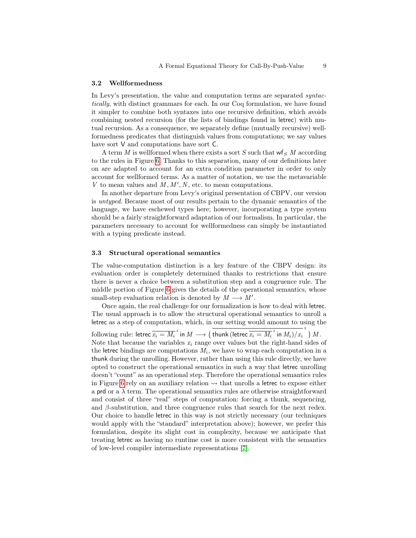#### 3.2 Wellformedness

In Levy's presentation, the value and computation terms are separated syntactically, with distinct grammars for each. In our Coq formulation, we have found it simpler to combine both syntaxes into one recursive definition, which avoids combining nested recursion (for the lists of bindings found in letrec) with mutual recursion. As a consequence, we separately define (mutually recursive) wellformedness predicates that distinguish values from computations; we say values have sort V and computations have sort C.

A term  $M$  is wellformed when there exists a sort  $S$  such that  $\mathsf{wf}_S\ M$  according to the rules in Figure [6.](#page-7-0) Thanks to this separation, many of our definitions later on are adapted to account for an extra condition parameter in order to only account for wellformed terms. As a matter of notation, we use the metavariable V to mean values and  $M, M', N$ , etc. to mean computations.

In another departure from Levy's original presentation of CBPV, our version is untyped. Because most of our results pertain to the dynamic semantics of the language, we have eschewed types here; however, incorporating a type system should be a fairly straightforward adaptation of our formalism. In particular, the parameters necessary to account for wellformedness can simply be instantiated with a typing predicate instead.

## 3.3 Structural operational semantics

The value-computation distinction is a key feature of the CBPV design: its evaluation order is completely determined thanks to restrictions that ensure there is never a choice between a substitution step and a congruence rule. The middle portion of Figure [6](#page-7-0) gives the details of the operational semantics, whose small-step evaluation relation is denoted by  $M \longrightarrow M'$ .

Once again, the real challenge for our formalization is how to deal with letrec. The usual approach is to allow the structural operational semantics to unroll a letrec as a step of computation, which, in our setting would amount to using the following rule: letrec  $\overline{x_i = M_i}^i$  in  $M \longrightarrow \{$  thunk (letrec  $\overline{x_i = M_i}^i$  in  $M_i)/x_i$  $\stackrel{i}{\longrightarrow} M$  . Note that because the variables  $x_i$  range over values but the right-hand sides of the letrec bindings are computations  $M_i$ , we have to wrap each computation in a thunk during the unrolling. However, rather than using this rule directly, we have opted to construct the operational semantics in such a way that letrec unrolling doesn't "count" as an operational step. Therefore the operational semantics rules in Figure [6](#page-7-0) rely on an auxiliary relation  $\rightarrow$  that unrolls a letrec to expose either a prd or a  $\lambda$  term. The operational semantics rules are otherwise straightforward and consist of three "real" steps of computation: forcing a thunk, sequencing, and  $\beta$ -substitution, and three congruence rules that search for the next redex. Our choice to handle letrec in this way is not strictly necessary (our techniques would apply with the "standard" interpretation above); however, we prefer this formulation, despite its slight cost in complexity, because we anticipate that treating letrec as having no runtime cost is more consistent with the semantics of low-level compiler intermediate representations [\[7\]](#page-17-6).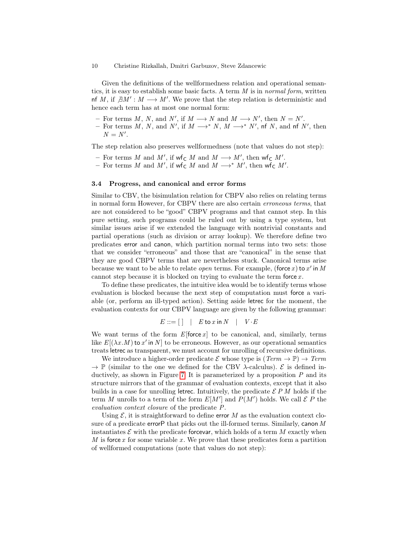Given the definitions of the wellformedness relation and operational semantics, it is easy to establish some basic facts. A term M is in normal form, written nf M, if  $\exists M' : M \longrightarrow M'$ . We prove that the step relation is deterministic and hence each term has at most one normal form:

- For terms M, N, and N', if  $M \longrightarrow N$  and  $M \longrightarrow N'$ , then  $N = N'$ .
- For terms M, N, and N', if  $M \longrightarrow^* N$ ,  $M \longrightarrow^* N'$ , nf N, and nf N', then  $N = N'.$

The step relation also preserves wellformedness (note that values do not step):

- For terms M and M', if  $\mathsf{wf}_{\mathsf{C}} M$  and  $M \longrightarrow M'$ , then  $\mathsf{wf}_{\mathsf{C}} M'$ .
- For terms M and M', if  $\mathsf{wf}_{\mathsf{C}} M$  and  $M \longrightarrow^* M'$ , then  $\mathsf{wf}_{\mathsf{C}} M'$ .

## 3.4 Progress, and canonical and error forms

Similar to CBV, the bisimulation relation for CBPV also relies on relating terms in normal form However, for CBPV there are also certain erroneous terms, that are not considered to be "good" CBPV programs and that cannot step. In this pure setting, such programs could be ruled out by using a type system, but similar issues arise if we extended the language with nontrivial constants and partial operations (such as division or array lookup). We therefore define two predicates error and canon, which partition normal terms into two sets: those that we consider "erroneous" and those that are "canonical" in the sense that they are good CBPV terms that are nevertheless stuck. Canonical terms arise because we want to be able to relate *open* terms. For example, (force x) to x' in M cannot step because it is blocked on trying to evaluate the term force  $x$ .

To define these predicates, the intuitive idea would be to identify terms whose evaluation is blocked because the next step of computation must force a variable (or, perform an ill-typed action). Setting aside letrec for the moment, the evaluation contexts for our CBPV language are given by the following grammar:

$$
E ::= [ | | E \text{ to } x \text{ in } N | V \cdot E
$$

We want terms of the form  $E$ [force  $x$ ] to be canonical, and, similarly, terms like  $E[(\lambda x.M)$  to x' in N to be erroneous. However, as our operational semantics treats letrec as transparent, we must account for unrolling of recursive definitions.

We introduce a higher-order predicate E whose type is  $(Term \rightarrow \mathbb{P}) \rightarrow Term$  $\rightarrow \mathbb{P}$  (similar to the one we defined for the CBV  $\lambda$ -calculus).  $\mathcal{E}$  is defined in-ductively, as shown in Figure [7.](#page-10-0) It is parameterized by a proposition  $P$  and its structure mirrors that of the grammar of evaluation contexts, except that it also builds in a case for unrolling letrec. Intuitively, the predicate  $\mathcal{E} P M$  holds if the term M unrolls to a term of the form  $E[M']$  and  $P(M')$  holds. We call  $\mathcal E P$  the evaluation context closure of the predicate P.

Using  $\mathcal{E}$ , it is straightforward to define error M as the evaluation context closure of a predicate errorP that picks out the ill-formed terms. Similarly, canon  $M$ instantiates  $\mathcal E$  with the predicate forcevar, which holds of a term M exactly when  $M$  is force x for some variable x. We prove that these predicates form a partition of wellformed computations (note that values do not step):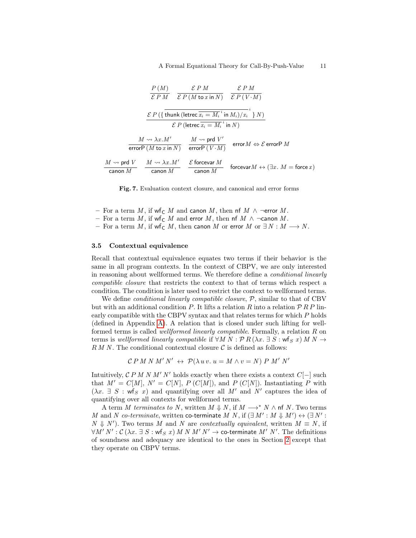$$
\frac{P(M)}{\mathcal{E}PM} \quad \frac{\mathcal{E}PM}{\mathcal{E}P(M \text{ to } x \text{ in } N)} \quad \frac{\mathcal{E}PM}{\mathcal{E}P(V \cdot M)}
$$
\n
$$
\frac{\mathcal{E}P(\{\text{thunk}(\text{letrec } \overline{x_i} = M_i^{\cdot i} \text{ in } M_i)/x_i \} N)}{\mathcal{E}P(\text{letrec } \overline{x_i} = M_i^{\cdot i} \text{ in } N)}
$$
\n
$$
\frac{M \rightsquigarrow \lambda x.M'}{\text{error}P(M \text{ to } x \text{ in } N)} \quad \frac{M \rightsquigarrow \text{prd } V'}{\text{error}P(V \cdot M)} \quad \text{error } M \Leftrightarrow \mathcal{E} \text{ error}PM
$$
\n
$$
\frac{M \rightsquigarrow \text{prd } V}{\text{canon } M} \quad \frac{\mathcal{E} \text{ forcevar } M}{\text{canon } M} \quad \text{forcevar } M \leftrightarrow (\exists x. \ M = \text{force } x)
$$

<span id="page-10-0"></span>Fig. 7. Evaluation context closure, and canonical and error forms

- For a term M, if wf<sub>C</sub> M and canon M, then nf M  $\wedge$  ¬error M.
- For a term  $M$ , if wf<sub>C</sub>  $M$  and error  $M$ , then nf  $M$  ∧ ¬canon  $M$ .
- For a term  $M$ , if wf<sub>C</sub>  $M$ , then canon  $M$  or error  $M$  or  $\exists N : M \longrightarrow N$ .

#### 3.5 Contextual equivalence

Recall that contextual equivalence equates two terms if their behavior is the same in all program contexts. In the context of CBPV, we are only interested in reasoning about wellformed terms. We therefore define a conditional linearly compatible closure that restricts the context to that of terms which respect a condition. The condition is later used to restrict the context to wellformed terms.

We define *conditional linearly compatible closure*,  $P$ , similar to that of CBV but with an additional condition P. It lifts a relation R into a relation  $\mathcal{P} R P$  linearly compatible with the CBPV syntax and that relates terms for which P holds (defined in Appendix [A\)](#page-18-0). A relation that is closed under such lifting for wellformed terms is called wellformed linearly compatible. Formally, a relation R on terms is wellformed linearly compatible if  $\forall M \ N : \mathcal{P}R(\lambda x. \exists S : \text{wf}_S x) \ M \ N \rightarrow$  $R M N$ . The conditional contextual closure  $C$  is defined as follows:

$$
\mathcal{C} P M N M' N' \leftrightarrow \mathcal{P}(\lambda u v. u = M \wedge v = N) P M' N'
$$

Intuitively,  $\mathcal{C} P M N M' N'$  holds exactly when there exists a context  $C[-]$  such that  $M' = C[M]$ ,  $N' = C[N]$ ,  $P(C[M])$ , and  $P(C[N])$ . Instantiating P with  $(\lambda x. \exists S : wf_S x)$  and quantifying over all M' and N' captures the idea of quantifying over all contexts for wellformed terms.

A term M terminates to N, written  $M \Downarrow N$ , if  $M \longrightarrow^* N \wedge \text{nf } N$ . Two terms M and N co-terminate, written co-terminate M N, if  $(\exists M': M \Downarrow M') \leftrightarrow (\exists N': N$  $N \Downarrow N'$ ). Two terms M and N are contextually equivalent, written  $M \equiv N$ , if  $\forall M' \ N' : \mathcal{C}(\lambda x. \ \exists \ S : \mathsf{wf}_S \ x) \ M \ N \ M' \ N' \to \textsf{co-terminate} \ M' \ N'. \ \textit{The definitions}$ of soundness and adequacy are identical to the ones in Section [2](#page-1-0) except that they operate on CBPV terms.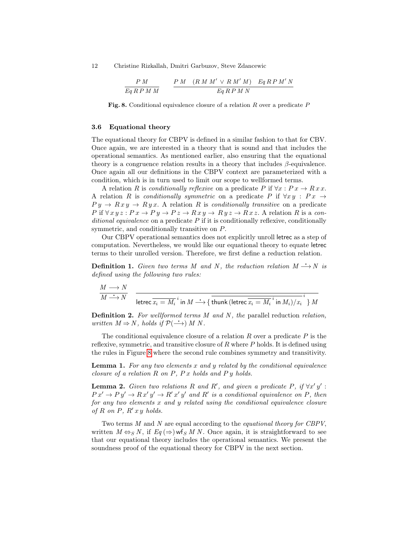$$
\frac{P\ M}{Eq\ R\ P\ M\ M}\qquad \frac{P\ M\quad (R\ M\ M'\ \vee\ R\ M'\ M)\quad Eq\ R\ P\ M'\ N}{Eq\ R\ P\ M\ N}
$$

<span id="page-11-0"></span>Fig. 8. Conditional equivalence closure of a relation  $R$  over a predicate  $P$ 

## 3.6 Equational theory

The equational theory for CBPV is defined in a similar fashion to that for CBV. Once again, we are interested in a theory that is sound and that includes the operational semantics. As mentioned earlier, also ensuring that the equational theory is a congruence relation results in a theory that includes  $\beta$ -equivalence. Once again all our definitions in the CBPV context are parameterized with a condition, which is in turn used to limit our scope to wellformed terms.

A relation R is conditionally reflexive on a predicate P if  $\forall x : Px \rightarrow R \, x \, x$ . A relation R is conditionally symmetric on a predicate P if  $\forall xy : Px \rightarrow$  $Py \rightarrow Rxy \rightarrow Ryx$ . A relation R is conditionally transitive on a predicate P if  $\forall x \, y \, z : P \, x \rightarrow P \, y \rightarrow P \, z \rightarrow R \, x \, y \rightarrow R \, y \, z \rightarrow R \, x \, z$ . A relation R is a conditional equivalence on a predicate  $P$  if it is conditionally reflexive, conditionally symmetric, and conditionally transitive on P.

Our CBPV operational semantics does not explicitly unroll letrec as a step of computation. Nevertheless, we would like our equational theory to equate letrec terms to their unrolled version. Therefore, we first define a reduction relation.

**Definition 1.** Given two terms M and N, the reduction relation  $M \rightarrow N$  is defined using the following two rules:

$$
\frac{M \longrightarrow N}{M \stackrel{\text{inter}}{\longrightarrow} N} \quad \frac{M \longrightarrow N}{\text{letrec } \overline{x_i = M_i}^i \text{ in } M \stackrel{\text{t}}{\longrightarrow} \{\text{ thunk (letrec } \overline{x_i = M_i}^i \text{ in } M_i)/x_i}^i\} M}
$$

**Definition 2.** For wellformed terms  $M$  and  $N$ , the parallel reduction relation, written  $M \Rightarrow N$ , holds if  $\mathcal{P}(\rightarrow) M N$ .

The conditional equivalence closure of a relation  $R$  over a predicate  $P$  is the reflexive, symmetric, and transitive closure of  $R$  where  $P$  holds. It is defined using the rules in Figure [8](#page-11-0) where the second rule combines symmetry and transitivity.

<span id="page-11-2"></span>**Lemma 1.** For any two elements  $x$  and  $y$  related by the conditional equivalence closure of a relation  $R$  on  $P$ ,  $P$  x holds and  $P$  y holds.

<span id="page-11-1"></span>**Lemma 2.** Given two relations R and R', and given a predicate P, if  $\forall x' y'$ :  $P x' \rightarrow P y' \rightarrow R x' y' \rightarrow R' x' y'$  and  $R'$  is a conditional equivalence on P, then for any two elements  $x$  and  $y$  related using the conditional equivalence closure of  $R$  on  $P$ ,  $R'$  x  $y$  holds.

Two terms  $M$  and  $N$  are equal according to the *equational theory for CBPV*, written  $M \Leftrightarrow_S N$ , if  $Eq(\Rightarrow)$  wf s M N. Once again, it is straightforward to see that our equational theory includes the operational semantics. We present the soundness proof of the equational theory for CBPV in the next section.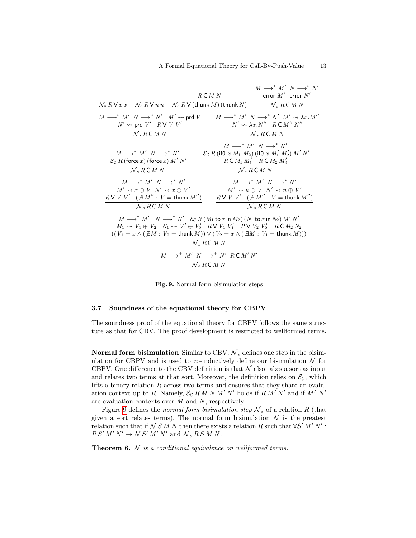| $\overline{\mathcal{N}_s R \vee x \, x}$ $\overline{\mathcal{N}_s R \vee n \, n}$ $\overline{\mathcal{N}_s R \vee (\text{thunk } M) (\text{thunk } N)}$<br>$\mathcal{N}_s$ R C M N                                                                                                                                                                                                                                                                                                                                            |  |
|-------------------------------------------------------------------------------------------------------------------------------------------------------------------------------------------------------------------------------------------------------------------------------------------------------------------------------------------------------------------------------------------------------------------------------------------------------------------------------------------------------------------------------|--|
|                                                                                                                                                                                                                                                                                                                                                                                                                                                                                                                               |  |
| $M \longrightarrow^* M' N \longrightarrow^* N' M' \rightsquigarrow \lambda x.M''$<br>$M \longrightarrow^* M'$ $N \longrightarrow^* N'$ $M' \rightsquigarrow$ prd V<br>$N' \rightsquigarrow$ prd $V'$ $R \vee V V'$<br>$N' \rightsquigarrow \lambda x. N''$ R C $M'' N''$                                                                                                                                                                                                                                                      |  |
| $\mathcal{N}$ s R C M N<br>$\mathcal{N}_s$ R C M N                                                                                                                                                                                                                                                                                                                                                                                                                                                                            |  |
| $M \longrightarrow^* M' N \longrightarrow^* N'$<br>$\mathcal{E}_{\mathcal{C}} R$ (if 0 x $M_1 M_2$ ) (if 0 x $M'_1 M'_2$ ) $M' N'$<br>$M \longrightarrow^* M'$ $N \longrightarrow^* N'$                                                                                                                                                                                                                                                                                                                                       |  |
| $R \subset M_1 M_1'$ $R \subset M_2 M_2'$<br>$\mathcal{E}_{\mathcal{C}} R$ (force x) (force x) $M' N'$                                                                                                                                                                                                                                                                                                                                                                                                                        |  |
| $\mathcal{N}_s$ R C M N<br>$\mathcal{N}$ , RCMN                                                                                                                                                                                                                                                                                                                                                                                                                                                                               |  |
| $M \longrightarrow^* M' N \longrightarrow^* N'$<br>$M \longrightarrow^* M' N \longrightarrow^* N'$<br>$M' \rightsquigarrow x \oplus V \ N' \rightsquigarrow x \oplus V'$<br>$M' \rightsquigarrow n \oplus V \ N' \rightsquigarrow n \oplus V'$<br>$RVVV'$ $(\exists M'': V = \text{think } M'')$<br>$R$ V $V'$ $($ $\exists M'' : V =$ thunk $M'')$                                                                                                                                                                           |  |
| $N, RC$ M N<br>$\mathcal{N}$ , RCMN                                                                                                                                                                                                                                                                                                                                                                                                                                                                                           |  |
| $M \longrightarrow^* M'$ $N \longrightarrow^* N'$ $\mathcal{E}_{\mathcal{C}} R(M_1 \text{ to } x \text{ in } M_2) (N_1 \text{ to } x \text{ in } N_2) M' N'$<br>$M_1 \rightsquigarrow V_1 \oplus V_2$ $N_1 \rightsquigarrow V_1' \oplus V_2'$ $RV V_1 V_1'$ $RV V_2 V_2'$ $RC M_2 N_2$<br>$((V_1 = x \wedge (\nexists M : V_2 = \text{thunk }M)) \vee (V_2 = x \wedge (\nexists M : V_1 = \text{thunk }M)))$<br>$\mathcal{N}_s$ R C M N<br>$M \longrightarrow^+ M' N \longrightarrow^+ N' RCM' N'$<br>$\mathcal{N}$ s R C M N |  |

<span id="page-12-0"></span>Fig. 9. Normal form bisimulation steps

#### 3.7 Soundness of the equational theory for CBPV

The soundness proof of the equational theory for CBPV follows the same structure as that for CBV. The proof development is restricted to wellformed terms.

Normal form bisimulation Similar to CBV,  $N_s$  defines one step in the bisimulation for CBPV and is used to co-inductively define our bisimulation  $\mathcal N$  for CBPV. One difference to the CBV definition is that  $N$  also takes a sort as input and relates two terms at that sort. Moreover, the definition relies on  $\mathcal{E}_{\mathcal{C}}$ , which lifts a binary relation  $R$  across two terms and ensures that they share an evaluation context up to R. Namely,  $\mathcal{E}_{\mathcal{C}} R M N M' N'$  holds if  $R M' N'$  and if  $M' N'$ are evaluation contexts over  $M$  and  $N$ , respectively.

Figure [9](#page-12-0) defines the normal form bisimulation step  $\mathcal{N}_s$  of a relation R (that given a sort relates terms). The normal form bisimulation  $\mathcal N$  is the greatest relation such that if  $N S M N$  then there exists a relation R such that  $\forall S' M' N'$ :  $RS'M' N' \rightarrow \mathcal{N} S'M' N'$  and  $\mathcal{N}_s R S M N$ .

<span id="page-12-1"></span>**Theorem 6.**  $N$  is a conditional equivalence on wellformed terms.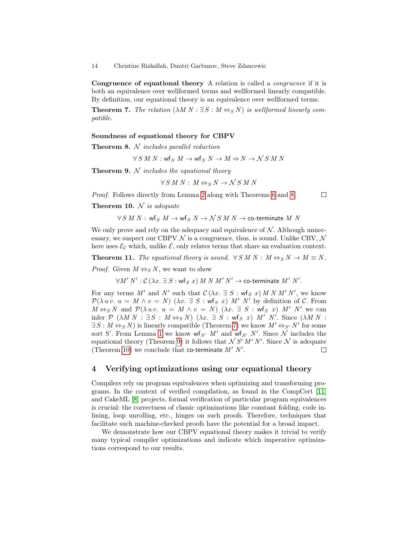Congruence of equational theory A relation is called a *congruence* if it is both an equivalence over wellformed terms and wellformed linearly compatible. By definition, our equational theory is an equivalence over wellformed terms.

**Theorem 7.** The relation  $(\lambda M N : \exists S : M \Leftrightarrow_S N)$  is wellformed linearly compatible.

#### <span id="page-13-1"></span>Soundness of equational theory for CBPV

**Theorem 8.**  $N$  includes parallel reduction

$$
\forall S \: M \: N : \text{wf}_S \: M \to \text{wf}_S \: N \to M \Rightarrow N \to \mathcal{N} \: S \: M \: N
$$

<span id="page-13-3"></span>**Theorem 9.**  $N$  includes the equational theory

$$
\forall S \: M \: N : \: M \Leftrightarrow_S N \to \mathcal{N} \: S \: M \: N
$$

Proof. Follows directly from Lemma [2](#page-11-1) along with Theorems [6](#page-12-1) and [8.](#page-13-1)

<span id="page-13-2"></span> $\Box$ 

<span id="page-13-4"></span>**Theorem 10.**  $N$  is adequate

 $\forall S M N:$  wfs  $M \to \mathsf{wf}_S N \to \mathcal{N} S M N \to \mathsf{co}\text{-}\mathsf{terminate} M N$ 

We only prove and rely on the adequacy and equivalence of  $\mathcal N$ . Although unnecessary, we suspect our CBPV  $\mathcal N$  is a congruence, thus, is sound. Unlike CBV,  $\mathcal N$ here uses  $\mathcal{E}_{\mathcal{C}}$  which, unlike  $\mathcal{E}$ , only relates terms that share an evaluation context.

<span id="page-13-5"></span>**Theorem 11.** The equational theory is sound.  $\forall S M N : M \Leftrightarrow_S N \rightarrow M \equiv N$ . *Proof.* Given  $M \Leftrightarrow_S N$ , we want to show

 $\forall M^{\prime} \ N^{\prime} : \mathcal{C} \ (\lambda x. \ \exists \ S: \mathsf{wf}_{S} \ x) \ M \ N \ M^{\prime} \ N^{\prime} \rightarrow \mathsf{co}\text{-}\mathsf{terminate} \ M^{\prime} \ N^{\prime}.$ 

For any terms M' and N' such that  $\mathcal{C}(\lambda x. \exists S : \mathsf{wf}_S x) \land N \land N' \land N'$ , we know  $\mathcal{P}(\lambda u v. u = M \wedge v = N)$   $(\lambda x. \exists S : wf_S x) M' N'$  by definition of C. From  $M \Leftrightarrow_S N$  and  $\mathcal{P}(\lambda u v. u = M \wedge v = N)$   $(\lambda x. \exists S : wf_S x) M' N'$  we can infer  $P$   $(\lambda M N : \exists S : M \Leftrightarrow_S N)$   $(\lambda x. \exists S : \mathsf{wf}_S x) M' N'$ . Since  $(\lambda M N :$  $\exists S : M \Leftrightarrow_S N$  is linearly compatible (Theorem [7\)](#page-13-2) we know  $M' \Leftrightarrow_{S'} N'$  for some sort S'. From Lemma [1](#page-11-2) we know  $\mathsf{wf}_{S'}$  M' and  $\mathsf{wf}_{S'}$  N'. Since N includes the equational theory (Theorem [9\)](#page-13-3) it follows that  $\mathcal{N} S' M' N'$ . Since  $\mathcal{N}$  is adequate (Theorem [10\)](#page-13-4) we conclude that co-terminate  $M'$  N'.  $\Box$ 

# <span id="page-13-0"></span>4 Verifying optimizations using our equational theory

Compilers rely on program equivalences when optimizing and transforming programs. In the context of verified compilation, as found in the CompCert [\[11\]](#page-17-9) and CakeML [\[8\]](#page-17-10) projects, formal verification of particular program equivalences is crucial: the correctness of classic optimizations like constant folding, code inlining, loop unrolling, etc., hinges on such proofs. Therefore, techniques that facilitate such machine-checked proofs have the potential for a broad impact.

We demonstrate how our CBPV equational theory makes it trivial to verify many typical compiler optimizations and indicate which imperative optimizations correspond to our results.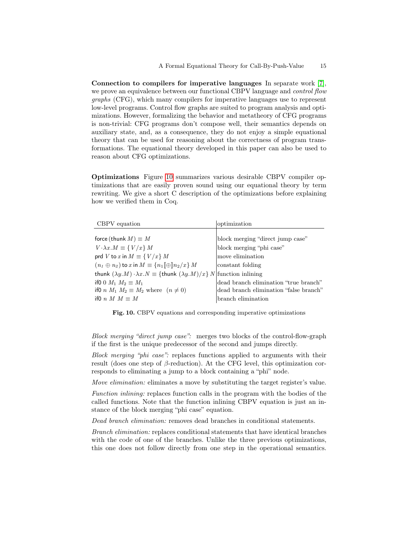Connection to compilers for imperative languages In separate work [\[7\]](#page-17-6), we prove an equivalence between our functional CBPV language and *control flow* graphs (CFG), which many compilers for imperative languages use to represent low-level programs. Control flow graphs are suited to program analysis and optimizations. However, formalizing the behavior and metatheory of CFG programs is non-trivial: CFG programs don't compose well, their semantics depends on auxiliary state, and, as a consequence, they do not enjoy a simple equational theory that can be used for reasoning about the correctness of program transformations. The equational theory developed in this paper can also be used to reason about CFG optimizations.

Optimizations Figure [10](#page-14-0) summarizes various desirable CBPV compiler optimizations that are easily proven sound using our equational theory by term rewriting. We give a short C description of the optimizations before explaining how we verified them in Coq.

| CBPV equation                                                                                                | optimization                           |
|--------------------------------------------------------------------------------------------------------------|----------------------------------------|
|                                                                                                              |                                        |
| force (thunk $M \equiv M$                                                                                    | block merging "direct jump case"       |
| $V \cdot \lambda x.M \equiv \{V/x\} M$                                                                       | block merging "phi case"               |
| prd V to x in $M \equiv \{V/x\}$ M                                                                           | move elimination                       |
| $(n_1 \oplus n_2)$ to x in $M \equiv \{n_1 \otimes n_2 / x\}$ M                                              | constant folding                       |
| thunk $(\lambda y.M) \cdot \lambda x.N \equiv \{\text{thunk } (\lambda y.M)/x\} N \text{ function inlining}$ |                                        |
| if 0 0 $M_1$ $M_2 \equiv M_1$                                                                                | dead branch elimination "true branch"  |
| if 0 n $M_1$ $M_2 \equiv M_2$ where $(n \neq 0)$                                                             | dead branch elimination "false branch" |
| if 0 n M $M = M$                                                                                             | branch elimination                     |

<span id="page-14-0"></span>Fig. 10. CBPV equations and corresponding imperative optimizations

Block merging "direct jump case": merges two blocks of the control-flow-graph if the first is the unique predecessor of the second and jumps directly.

Block merging "phi case": replaces functions applied to arguments with their result (does one step of  $\beta$ -reduction). At the CFG level, this optimization corresponds to eliminating a jump to a block containing a "phi" node.

Move elimination: eliminates a move by substituting the target register's value.

Function inlining: replaces function calls in the program with the bodies of the called functions. Note that the function inlining CBPV equation is just an instance of the block merging "phi case" equation.

Dead branch elimination: removes dead branches in conditional statements.

Branch elimination: replaces conditional statements that have identical branches with the code of one of the branches. Unlike the three previous optimizations, this one does not follow directly from one step in the operational semantics.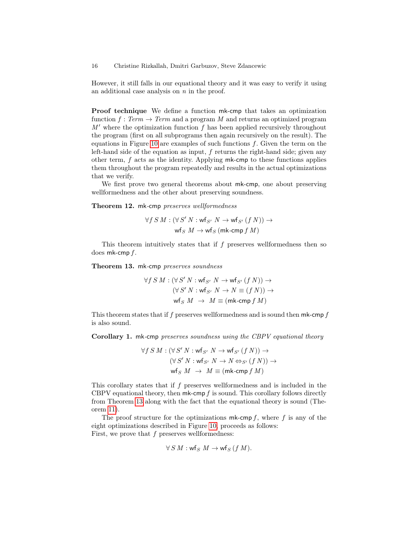However, it still falls in our equational theory and it was easy to verify it using an additional case analysis on  $n$  in the proof.

Proof technique We define a function mk-cmp that takes an optimization function  $f : Term \rightarrow Term$  and a program M and returns an optimized program  $M'$  where the optimization function f has been applied recursively throughout the program (first on all subprograms then again recursively on the result). The equations in Figure [10](#page-14-0) are examples of such functions  $f$ . Given the term on the left-hand side of the equation as input,  $f$  returns the right-hand side; given any other term,  $f$  acts as the identity. Applying  $mk$ -cmp to these functions applies them throughout the program repeatedly and results in the actual optimizations that we verify.

We first prove two general theorems about mk-cmp, one about preserving wellformedness and the other about preserving soundness.

Theorem 12. mk-cmp preserves wellformedness

$$
\forall f S M : (\forall S' N : \text{wf}_{S'} N \rightarrow \text{wf}_{S'} (f N)) \rightarrow
$$
  

$$
\text{wf}_{S} M \rightarrow \text{wf}_{S} (\text{mk-cmp } f M)
$$

This theorem intuitively states that if  $f$  preserves wellformedness then so does mk-cmp f.

<span id="page-15-0"></span>Theorem 13. mk-cmp preserves soundness

$$
\forall f S M : (\forall S' N : \text{wf}_{S'} N \rightarrow \text{wf}_{S'} (f N)) \rightarrow
$$

$$
(\forall S' N : \text{wf}_{S'} N \rightarrow N \equiv (f N)) \rightarrow
$$

$$
\text{wf}_{S} M \rightarrow M \equiv (\text{mk-cmp } f M)
$$

This theorem states that if  $f$  preserves wellformedness and is sound then mk-cmp  $f$ is also sound.

<span id="page-15-1"></span>Corollary 1. mk-cmp preserves soundness using the CBPV equational theory

$$
\begin{aligned} \forall f\, S\, M: (\forall\, S'\, N: \text{wf}_{S'}\ N \rightarrow \text{wf}_{S'}\ (f\, N)) \rightarrow \\ (\forall\, S'\, N: \text{wf}_{S'}\ N \rightarrow N \Leftrightarrow_{S'} (f\, N)) \rightarrow \\ \text{wf}_{S}\ M \,\, \rightarrow \,\, M \equiv (\text{mk-cmp}\, f\, M) \end{aligned}
$$

This corollary states that if  $f$  preserves wellformedness and is included in the CBPV equational theory, then  $mk$ -cmp  $f$  is sound. This corollary follows directly from Theorem [13](#page-15-0) along with the fact that the equational theory is sound (Theorem [11\)](#page-13-5).

The proof structure for the optimizations  $mk$ -cmp f, where f is any of the eight optimizations described in Figure [10,](#page-14-0) proceeds as follows: First, we prove that  $f$  preserves wellformedness:

$$
\forall S \, M : \textsf{wf}_S \; M \to \textsf{wf}_S \, (f \, M).
$$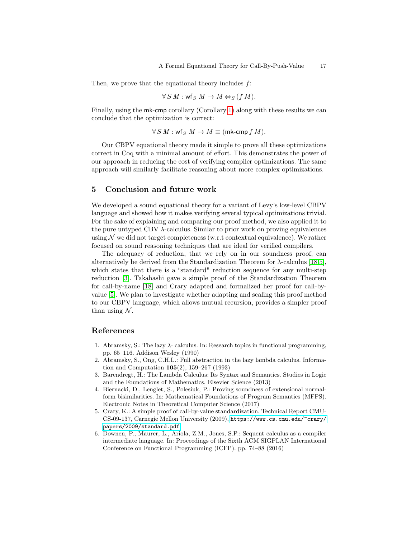Then, we prove that the equational theory includes  $f$ :

$$
\forall S M: \text{wf}_S M \to M \Leftrightarrow_S (f M).
$$

Finally, using the mk-cmp corollary (Corollary [1\)](#page-15-1) along with these results we can conclude that the optimization is correct:

 $\forall S M : \text{wf}_S M \rightarrow M \equiv (\text{mk-cmp } f M).$ 

Our CBPV equational theory made it simple to prove all these optimizations correct in Coq with a minimal amount of effort. This demonstrates the power of our approach in reducing the cost of verifying compiler optimizations. The same approach will similarly facilitate reasoning about more complex optimizations.

# 5 Conclusion and future work

We developed a sound equational theory for a variant of Levy's low-level CBPV language and showed how it makes verifying several typical optimizations trivial. For the sake of explaining and comparing our proof method, we also applied it to the pure untyped CBV  $\lambda$ -calculus. Similar to prior work on proving equivalences using  $\mathcal N$  we did not target completeness (w.r.t contextual equivalence). We rather focused on sound reasoning techniques that are ideal for verified compilers.

The adequacy of reduction, that we rely on in our soundness proof, can alternatively be derived from the Standardization Theorem for  $\lambda$ -calculus [\[18](#page-17-11)[,5\]](#page-16-4), which states that there is a "standard" reduction sequence for any multi-step reduction [\[3\]](#page-16-5). Takahashi gave a simple proof of the Standardization Theorem for call-by-name [\[18\]](#page-17-11) and Crary adapted and formalized her proof for call-byvalue [\[5\]](#page-16-4). We plan to investigate whether adapting and scaling this proof method to our CBPV language, which allows mutual recursion, provides a simpler proof than using  $\mathcal N$ .

# References

- <span id="page-16-1"></span>1. Abramsky, S.: The lazy  $\lambda$ - calculus. In: Research topics in functional programming, pp. 65–116. Addison Wesley (1990)
- <span id="page-16-2"></span>2. Abramsky, S., Ong, C.H.L.: Full abstraction in the lazy lambda calculus. Information and Computation 105(2), 159–267 (1993)
- <span id="page-16-5"></span>3. Barendregt, H.: The Lambda Calculus: Its Syntax and Semantics. Studies in Logic and the Foundations of Mathematics, Elsevier Science (2013)
- <span id="page-16-0"></span>4. Biernacki, D., Lenglet, S., Polesiuk, P.: Proving soundness of extensional normalform bisimilarities. In: Mathematical Foundations of Program Semantics (MFPS). Electronic Notes in Theoretical Computer Science (2017)
- <span id="page-16-4"></span>5. Crary, K.: A simple proof of call-by-value standardization. Technical Report CMU-CS-09-137, Carnegie Mellon University (2009), [https://www.cs.cmu.edu/~crary/](https://www.cs.cmu.edu/~crary/papers/2009/standard.pdf) [papers/2009/standard.pdf](https://www.cs.cmu.edu/~crary/papers/2009/standard.pdf)
- <span id="page-16-3"></span>6. Downen, P., Maurer, L., Ariola, Z.M., Jones, S.P.: Sequent calculus as a compiler intermediate language. In: Proceedings of the Sixth ACM SIGPLAN International Conference on Functional Programming (ICFP). pp. 74–88 (2016)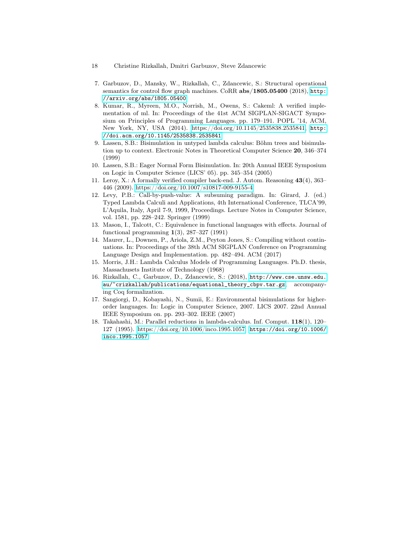- 18 Christine Rizkallah, Dmitri Garbuzov, Steve Zdancewic
- <span id="page-17-6"></span>7. Garbuzov, D., Mansky, W., Rizkallah, C., Zdancewic, S.: Structural operational semantics for control flow graph machines. CoRR abs/1805.05400 (2018), [http:](http://arxiv.org/abs/1805.05400) [//arxiv.org/abs/1805.05400](http://arxiv.org/abs/1805.05400)
- <span id="page-17-10"></span>8. Kumar, R., Myreen, M.O., Norrish, M., Owens, S.: Cakeml: A verified implementation of ml. In: Proceedings of the 41st ACM SIGPLAN-SIGACT Symposium on Principles of Programming Languages. pp. 179–191. POPL '14, ACM, New York, NY, USA (2014). [https://doi.org/10.1145/2535838.2535841,](https://doi.org/10.1145/2535838.2535841) [http:](http://doi.acm.org/10.1145/2535838.2535841) [//doi.acm.org/10.1145/2535838.2535841](http://doi.acm.org/10.1145/2535838.2535841)
- <span id="page-17-3"></span>9. Lassen, S.B.: Bisimulation in untyped lambda calculus: Böhm trees and bisimulation up to context. Electronic Notes in Theoretical Computer Science 20, 346–374 (1999)
- <span id="page-17-4"></span>10. Lassen, S.B.: Eager Normal Form Bisimulation. In: 20th Annual IEEE Symposium on Logic in Computer Science (LICS' 05). pp. 345–354 (2005)
- <span id="page-17-9"></span>11. Leroy, X.: A formally verified compiler back-end. J. Autom. Reasoning 43(4), 363– 446 (2009).<https://doi.org/10.1007/s10817-009-9155-4>
- <span id="page-17-5"></span>12. Levy, P.B.: Call-by-push-value: A subsuming paradigm. In: Girard, J. (ed.) Typed Lambda Calculi and Applications, 4th International Conference, TLCA'99, L'Aquila, Italy, April 7-9, 1999, Proceedings. Lecture Notes in Computer Science, vol. 1581, pp. 228–242. Springer (1999)
- <span id="page-17-2"></span>13. Mason, I., Talcott, C.: Equivalence in functional languages with effects. Journal of functional programming  $1(3)$ , 287–327 (1991)
- <span id="page-17-7"></span>14. Maurer, L., Downen, P., Ariola, Z.M., Peyton Jones, S.: Compiling without continuations. In: Proceedings of the 38th ACM SIGPLAN Conference on Programming Language Design and Implementation. pp. 482–494. ACM (2017)
- <span id="page-17-0"></span>15. Morris, J.H.: Lambda Calculus Models of Programming Languages. Ph.D. thesis, Massachusets Institute of Technology (1968)
- <span id="page-17-8"></span>16. Rizkallah, C., Garbuzov, D., Zdancewic, S.: (2018), [http://www.cse.unsw.edu.](http://www.cse.unsw.edu.au/~crizkallah/publications/equational_theory_cbpv.tar.gz) [au/~crizkallah/publications/equational\\_theory\\_cbpv.tar.gz](http://www.cse.unsw.edu.au/~crizkallah/publications/equational_theory_cbpv.tar.gz), accompanying Coq formalization.
- <span id="page-17-1"></span>17. Sangiorgi, D., Kobayashi, N., Sumii, E.: Environmental bisimulations for higherorder languages. In: Logic in Computer Science, 2007. LICS 2007. 22nd Annual IEEE Symposium on. pp. 293–302. IEEE (2007)
- <span id="page-17-11"></span>18. Takahashi, M.: Parallel reductions in lambda-calculus. Inf. Comput. 118(1), 120– 127 (1995). [https://doi.org/10.1006/inco.1995.1057,](https://doi.org/10.1006/inco.1995.1057) [https://doi.org/10.1006/](https://doi.org/10.1006/inco.1995.1057) [inco.1995.1057](https://doi.org/10.1006/inco.1995.1057)